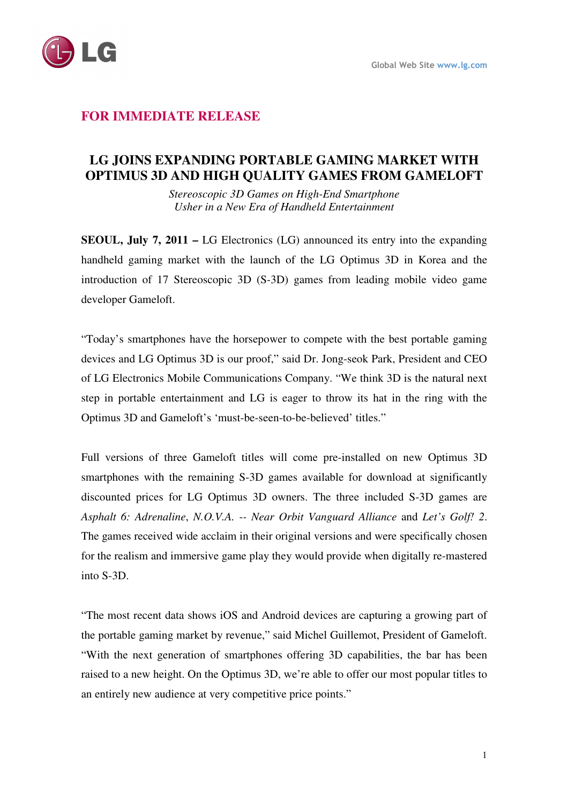

# **FOR IMMEDIATE RELEASE**

# **LG JOINS EXPANDING PORTABLE GAMING MARKET WITH OPTIMUS 3D AND HIGH QUALITY GAMES FROM GAMELOFT**

*Stereoscopic 3D Games on High-End Smartphone Usher in a New Era of Handheld Entertainment* 

**SEOUL, July 7, 2011 –** LG Electronics (LG) announced its entry into the expanding handheld gaming market with the launch of the LG Optimus 3D in Korea and the introduction of 17 Stereoscopic 3D (S-3D) games from leading mobile video game developer Gameloft.

"Today's smartphones have the horsepower to compete with the best portable gaming devices and LG Optimus 3D is our proof," said Dr. Jong-seok Park, President and CEO of LG Electronics Mobile Communications Company. "We think 3D is the natural next step in portable entertainment and LG is eager to throw its hat in the ring with the Optimus 3D and Gameloft's 'must-be-seen-to-be-believed' titles."

Full versions of three Gameloft titles will come pre-installed on new Optimus 3D smartphones with the remaining S-3D games available for download at significantly discounted prices for LG Optimus 3D owners. The three included S-3D games are *Asphalt 6: Adrenaline*, *N.O.V.A. -- Near Orbit Vanguard Alliance* and *Let's Golf! 2*. The games received wide acclaim in their original versions and were specifically chosen for the realism and immersive game play they would provide when digitally re-mastered into S-3D.

"The most recent data shows iOS and Android devices are capturing a growing part of the portable gaming market by revenue," said Michel Guillemot, President of Gameloft. "With the next generation of smartphones offering 3D capabilities, the bar has been raised to a new height. On the Optimus 3D, we're able to offer our most popular titles to an entirely new audience at very competitive price points."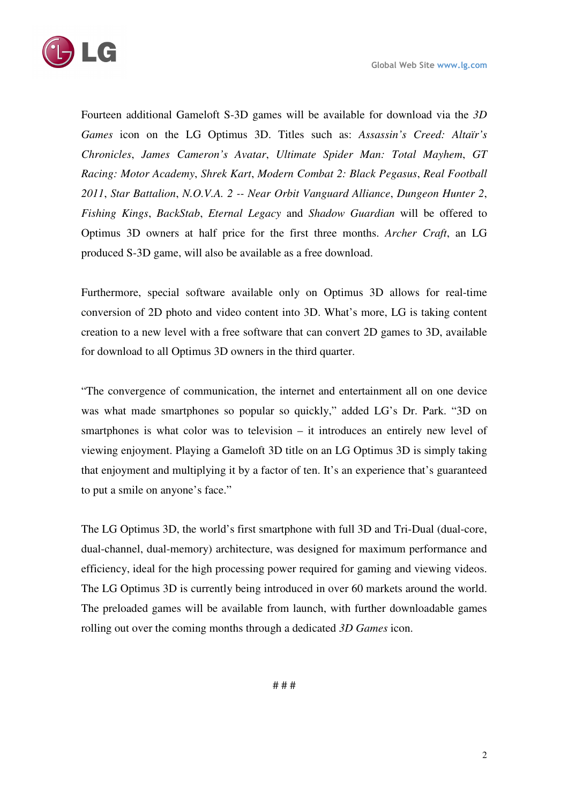

Fourteen additional Gameloft S-3D games will be available for download via the *3D Games* icon on the LG Optimus 3D. Titles such as: *Assassin's Creed: Altaïr's Chronicles*, *James Cameron's Avatar*, *Ultimate Spider Man: Total Mayhem*, *GT Racing: Motor Academy*, *Shrek Kart*, *Modern Combat 2: Black Pegasus*, *Real Football 2011*, *Star Battalion*, *N.O.V.A. 2 -- Near Orbit Vanguard Alliance*, *Dungeon Hunter 2*, *Fishing Kings*, *BackStab*, *Eternal Legacy* and *Shadow Guardian* will be offered to Optimus 3D owners at half price for the first three months. *Archer Craft*, an LG produced S-3D game, will also be available as a free download.

Furthermore, special software available only on Optimus 3D allows for real-time conversion of 2D photo and video content into 3D. What's more, LG is taking content creation to a new level with a free software that can convert 2D games to 3D, available for download to all Optimus 3D owners in the third quarter.

"The convergence of communication, the internet and entertainment all on one device was what made smartphones so popular so quickly," added LG's Dr. Park. "3D on smartphones is what color was to television – it introduces an entirely new level of viewing enjoyment. Playing a Gameloft 3D title on an LG Optimus 3D is simply taking that enjoyment and multiplying it by a factor of ten. It's an experience that's guaranteed to put a smile on anyone's face."

The LG Optimus 3D, the world's first smartphone with full 3D and Tri-Dual (dual-core, dual-channel, dual-memory) architecture, was designed for maximum performance and efficiency, ideal for the high processing power required for gaming and viewing videos. The LG Optimus 3D is currently being introduced in over 60 markets around the world. The preloaded games will be available from launch, with further downloadable games rolling out over the coming months through a dedicated *3D Games* icon.

# # #